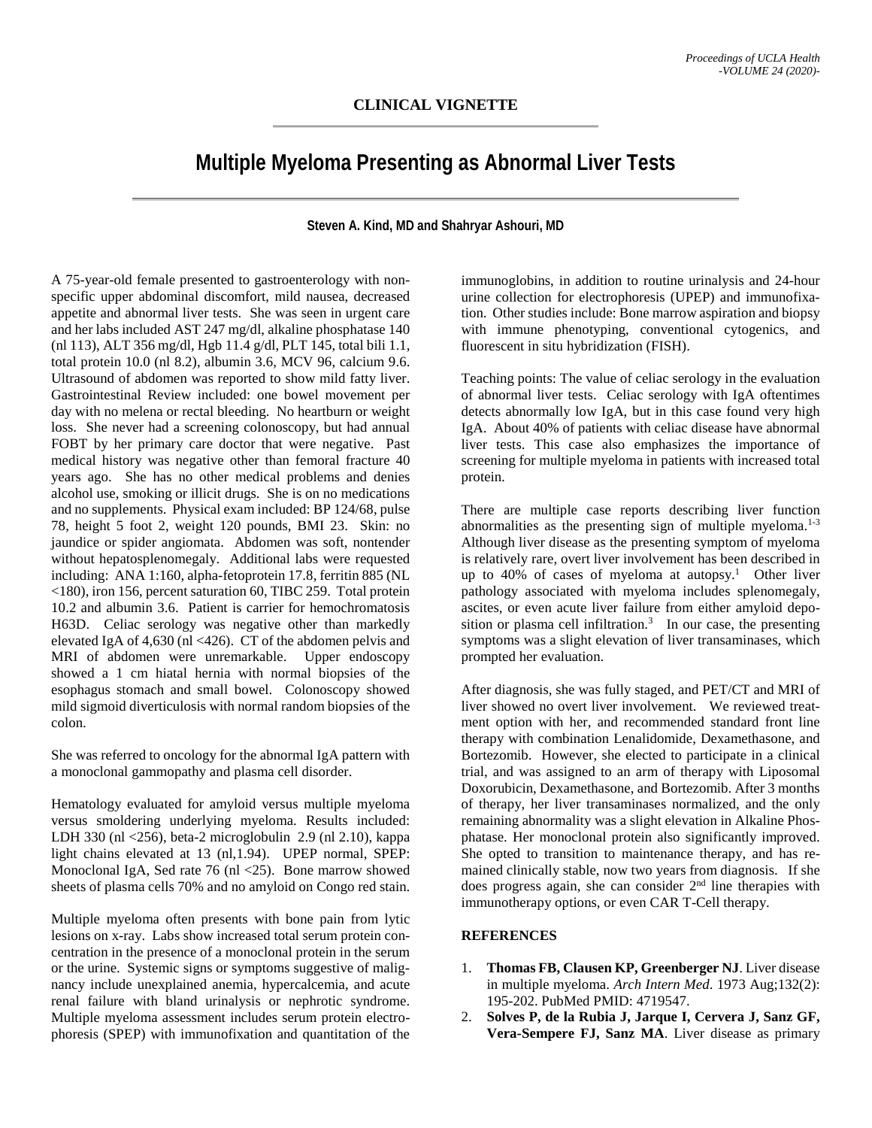## **Multiple Myeloma Presenting as Abnormal Liver Tests**

## **Steven A. Kind, MD and Shahryar Ashouri, MD**

A 75-year-old female presented to gastroenterology with nonspecific upper abdominal discomfort, mild nausea, decreased appetite and abnormal liver tests. She was seen in urgent care and her labs included AST 247 mg/dl, alkaline phosphatase 140 (nl 113), ALT 356 mg/dl, Hgb 11.4 g/dl, PLT 145, total bili 1.1, total protein 10.0 (nl 8.2), albumin 3.6, MCV 96, calcium 9.6. Ultrasound of abdomen was reported to show mild fatty liver. Gastrointestinal Review included: one bowel movement per day with no melena or rectal bleeding. No heartburn or weight loss. She never had a screening colonoscopy, but had annual FOBT by her primary care doctor that were negative. Past medical history was negative other than femoral fracture 40 years ago. She has no other medical problems and denies alcohol use, smoking or illicit drugs. She is on no medications and no supplements. Physical exam included: BP 124/68, pulse 78, height 5 foot 2, weight 120 pounds, BMI 23. Skin: no jaundice or spider angiomata. Abdomen was soft, nontender without hepatosplenomegaly. Additional labs were requested including: ANA 1:160, alpha-fetoprotein 17.8, ferritin 885 (NL <180), iron 156, percent saturation 60, TIBC 259. Total protein 10.2 and albumin 3.6. Patient is carrier for hemochromatosis H63D. Celiac serology was negative other than markedly elevated IgA of 4,630 (nl <426). CT of the abdomen pelvis and MRI of abdomen were unremarkable. Upper endoscopy showed a 1 cm hiatal hernia with normal biopsies of the esophagus stomach and small bowel. Colonoscopy showed mild sigmoid diverticulosis with normal random biopsies of the colon.

She was referred to oncology for the abnormal IgA pattern with a monoclonal gammopathy and plasma cell disorder.

Hematology evaluated for amyloid versus multiple myeloma versus smoldering underlying myeloma. Results included: LDH 330 (nl <256), beta-2 microglobulin 2.9 (nl 2.10), kappa light chains elevated at 13 (nl,1.94). UPEP normal, SPEP: Monoclonal IgA, Sed rate 76 (nl <25). Bone marrow showed sheets of plasma cells 70% and no amyloid on Congo red stain.

Multiple myeloma often presents with bone pain from lytic lesions on x-ray. Labs show increased total serum protein concentration in the presence of a monoclonal protein in the serum or the urine. Systemic signs or symptoms suggestive of malignancy include unexplained anemia, hypercalcemia, and acute renal failure with bland urinalysis or nephrotic syndrome. Multiple myeloma assessment includes serum protein electrophoresis (SPEP) with immunofixation and quantitation of the immunoglobins, in addition to routine urinalysis and 24-hour urine collection for electrophoresis (UPEP) and immunofixation. Other studies include: Bone marrow aspiration and biopsy with immune phenotyping, conventional cytogenics, and fluorescent in situ hybridization (FISH).

Teaching points: The value of celiac serology in the evaluation of abnormal liver tests. Celiac serology with IgA oftentimes detects abnormally low IgA, but in this case found very high IgA. About 40% of patients with celiac disease have abnormal liver tests. This case also emphasizes the importance of screening for multiple myeloma in patients with increased total protein.

There are multiple case reports describing liver function abnormalities as the presenting sign of multiple myeloma. $1-3$ Although liver disease as the presenting symptom of myeloma is relatively rare, overt liver involvement has been described in up to 40% of cases of myeloma at autopsy.<sup>1</sup> Other liver pathology associated with myeloma includes splenomegaly, ascites, or even acute liver failure from either amyloid deposition or plasma cell infiltration. $3$  In our case, the presenting symptoms was a slight elevation of liver transaminases, which prompted her evaluation.

After diagnosis, she was fully staged, and PET/CT and MRI of liver showed no overt liver involvement. We reviewed treatment option with her, and recommended standard front line therapy with combination Lenalidomide, Dexamethasone, and Bortezomib. However, she elected to participate in a clinical trial, and was assigned to an arm of therapy with Liposomal Doxorubicin, Dexamethasone, and Bortezomib. After 3 months of therapy, her liver transaminases normalized, and the only remaining abnormality was a slight elevation in Alkaline Phosphatase. Her monoclonal protein also significantly improved. She opted to transition to maintenance therapy, and has remained clinically stable, now two years from diagnosis. If she does progress again, she can consider 2<sup>nd</sup> line therapies with immunotherapy options, or even CAR T-Cell therapy.

## **REFERENCES**

- 1. **Thomas FB, Clausen KP, Greenberger NJ**. Liver disease in multiple myeloma. *Arch Intern Med*. 1973 Aug;132(2): 195-202. PubMed PMID: 4719547.
- 2. **Solves P, de la Rubia J, Jarque I, Cervera J, Sanz GF, Vera-Sempere FJ, Sanz MA**. Liver disease as primary